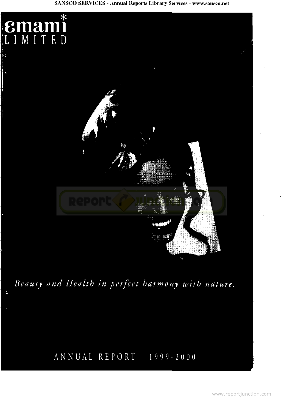### **SANSCO SERVICES - Annual Reports Library Services - www.sansco.net**



# ANNUAL REPORT 1999-2000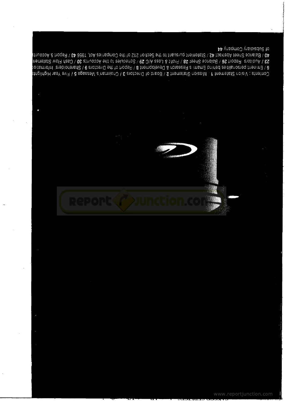of Subsidiary Company 44 40 / Balance Sheet Asrioshes 42 / Statement primario the Section 212 of the Companies Act, 19801. A3 / Recounts 23 / Auditors Rowal 26 / Balance Sheet 28 / Profit & Loss A/C 29 / Schedules to the Accounts 30 / Case Mogel and  $6$  / Eminent personalities behind Emami s Research & Development 8 / Report foe the Directors  $9$  / Shareholder in the matrix of  $\alpha$ Chamis : Visument : the ment is the sign statement  $2$  / Board to bractors  $3$  / Chamisd's Message  $5$  / Five Year Highlights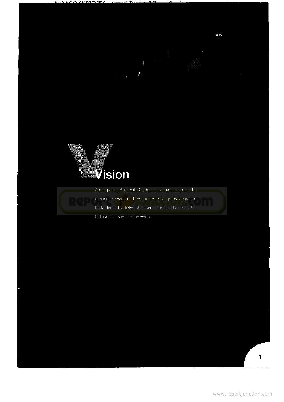



A company, which with the help of nature, caters to the

consumer needs and their inner cravings for dreams of better life in the fields of personal and healthcare, both in



**BAR**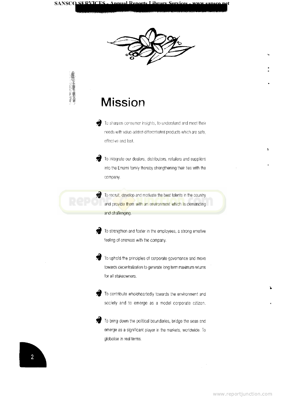

# **Mission**

To sharpen consumer insights, to understand and meet their needs with value-added differentiated products which are safe, effective and fast.

To integrate our dealers, distributors, retailers and suppliers into the Emami family thereby strengthening their ties with the company.



[To recruit, develop and motivate the best talents in the country](http://www.reportjunction.com) and provide them with an environment which is demanding and challenging.



To strengthen and foster in the employees, a strong emotive feeling of oneness with the company.



To uphold the principles of corporate governance and move towards decentralization to generate long term maximum returns for all stakeowners.



To contribute wholeheartedly towards the environment and society and to emerge as a model corporate citizen.



 $\overline{2}$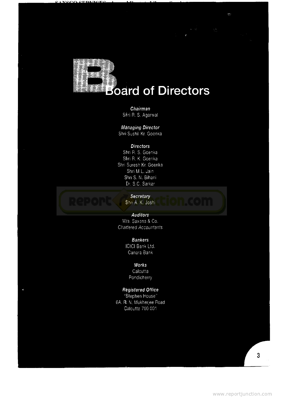

### **Chairman** Shri R, S. Agarwal

**Managing Director**

Shri Sushil Kr, Goenka

### **Directors**

Shri R. S. Goenka Shri R. K. Goenka Shri Suresh Kr, Goenka Shri M.L. Jain Shri S. N. Bihani Dr. S.C.Sarkar



**Secretary** [Shri A. K. Joshi](http://www.reportjunction.com)

**Auditors** M/s. Saxena & Co. Chartered Accountants

## **Bankers**

ICICI Bank Ltd. Canara Bank

**Works**

**Calcutta** Pondicherry

### **Registered Office**

"Stephen House" 6A. R. N, Mukherjee Road Galcutta 700 001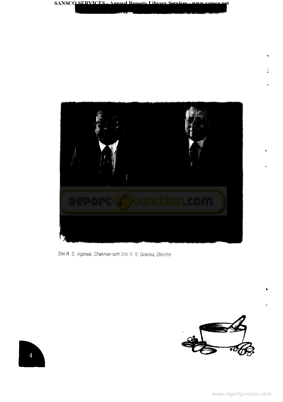

Shri R. S. Agarwal, Chairman with Shri R. S. Goenka, Director

**SANSCQ SERVICES** 



 $\overline{4}$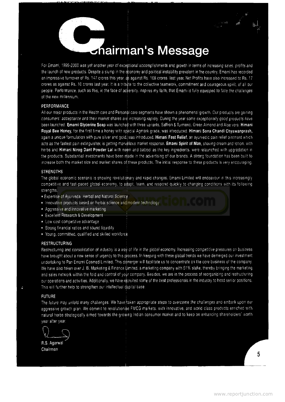# **airman's Message**

For Emami, 1999-2000 was yet another year of exceptional accomplishments and growth in terms of increasing sales, profits and the launch of new products. Despite a slump in the economy and political instability prevalent in the country, Emami has recorded an impressive turnover of Rs. 147 crores this year, as against Rs. 108 crores last year. Net Profits have also increased to Rs. 17 crores as against Rs. 10 crores last year. It is a tribute to the collective teamwork, commitment and courageous spirit, of all our people. Performance, such as this, in the face of adversity, inspires my faith, that Emami is fully equipped to face the challenges of the new millennium.

#### **PERFORMANCE**

All our major products in the Health care and Personal care segments have shown a phenomenal growth. Our products are gaining consumers' acceptance and their market shares are increasing rapidly. During the year some exceptionally good products have been launched. **Emami Glycerine Soap** was launched with three variants, Saffron & Turmeric, Green Almond and Aloe vera. Himani **Royal Bee Honey,** for the first time a honey with special Agmark grade, was introduced. Himani **Sona** Chandi Chyawanprash, again a unique formulation with pure silver and gold.<sup>1</sup> was introduced. Himani Fast Relief, an ayurvedic pain relief ointment which acts as the fastest pain extinguisher, is getting marvellous market response. **Emami Spirit of Man,** shaving cream and lotion, with herbs and Himani Nirog Dant Powder Lal with neem and babool as the key ingredients, were relaunched with upgradation in the products. Substantial investments have been njade in the advertising of our brands. A strong foundation has been built to increase both the market size and market shares of these products. The initial response to these products is very encouraging.

#### STRENGTHS

The global economic scenario is showing revolutionary and rapid changes. Emami Limited will endeavour in this increasingly competitive and fast-paced global economy, to adapt, learn, and respond quickly to changing conditions with its following strengths.

- Expertise of Ayurveda, Herbal and Natural Science
- Innovative products based on herbal science and modern technology
- Aggressive and innovative marketing
- Excellent Research & Development
- Low cost competitive advantage
- Strong financial ratios and sound liquidity :
- Young, committed, qualified and skilled workforce

#### **RESTRUCTURING**

Restructuring and consolidation of industry is a way of life in the global economy. Increasing competitive pressures on business have brought about a new sense of urgency to this process. In keeping with these global trends we have demerged our investment undertaking to Pan Emami Cosmed Limited. This demerger will facilitate us to concentrate on the core business of the company. We have also taken over J. B. Marketing & Finance Limited, a marketing company with 51% stake, thereby bringing the marketing and sales network within the fold and control of yojir company. Besides, we are in the process of reorganizing and restructuring our operations and activities. Additionally, we have recruited some of the best professionals in the industry to head senior positions. This will further help to strengthen our intellectual dapital base.

#### FUTURE

i.

The future may unfold many challenges. We have taken appropriate steps to overcome the challenges and embark upon our aggressive growth plan. We commit to revolutionise FMCG markets, with innovative, and world class products enriched with natural herbs strategically aimed towards the growing Indian consumer market and to keep on enhancing shareholders' worth year after year.

R.S. Agarwal Chairman

5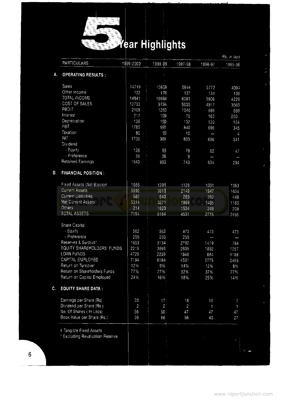

# **Artighlights**

|                                      |                |                 |                  |         | Rs. in lacs |
|--------------------------------------|----------------|-----------------|------------------|---------|-------------|
| PARTICULARS                          | 1999-2000      | 1998-99         | 1997-98          | 1996-97 | 1995-96     |
| <b>OPERATING RESULTS:</b><br>А.      |                |                 |                  |         |             |
| Sales                                | 14719          | 10808           | 5944             | 5772    | 4094        |
| Other Income                         | 122            | 176             | 137              | 134     | 136         |
| <b>TOTAL INCOME</b>                  | 14841          | 10984           | 6081             | 5906    | 4229        |
| <b>GOST OF SALES</b>                 | 12733          | 9734            | 5035             | 4917    | 3560        |
| PBDIT                                | 2108           | 1250            | 1046             | 989     | 669         |
| Interest                             | 217            | 109             | 75               | 163     | 200         |
| Depreciation                         | 106            | 15 <sub>D</sub> | 132              | 130     | 124         |
| PBT                                  | 1785           | 99 <sup>n</sup> | 840              | 696     | 345         |
| Taxation                             | 80             | 10              | 10               |         |             |
| PAT                                  | 1705           | 981             | 830              | 696     | 4           |
| Dividend                             |                |                 |                  |         | 341         |
| - Equity                             | 126            | 9₿              | 78               |         |             |
| - Preference                         | 36             | 36              | $\boldsymbol{9}$ | 62      | 47          |
| <b>Retained Earnings</b>             | 1543           | 852             | 743              | 634     | 294         |
| <b>FINANCIAL POSITION:</b>           |                |                 |                  |         |             |
|                                      |                |                 |                  |         |             |
| Fixed Assets (Net Block)#            | 1666           | 1291            | 1128             | 1031    | 1063        |
| <b>Current Assets</b>                | 5996           | 3913            | 2149             | 1847    | 1634        |
| <b>Current Liabilities</b>           | 682            | 643             | 280              | 352     | 449         |
| Net Current Assets                   | 5314           | 3271            | 1869             | 1495    | 1185        |
| Others                               | 214            | 1623            | 1534             | 249     | 208         |
| TOTAL ASSETS                         | 7194           | 6184            | 4531             | 2775    | 2455        |
| Share Capital                        |                |                 |                  |         |             |
| - Equity                             | 562            | 562             | 473              | 473     | 473         |
| - Preference                         | 250            | 250             | 250              |         |             |
| Reserves & Surplus*                  | 1653           | 3134            | 2162             | 1419    | 784         |
| EQUITY SHAREHOLDERS' FUNDS           | 2215           | 3695            | 2635             | 1892    | 1257        |
| <b>LOAN FUNDS</b>                    | 4729           | 2239i           | 1646             | 884     | 1198        |
| CAPITAL EMPLOYED                     | 7194           | 6184            | 4531             | 2775    | 2455        |
| Return on Turnover                   | 12%            | 9%              | 14%              | 12%     | 8%          |
| Return on Shareholders Funds         | 77%            | 27%             | 32%              | 37%     | 27%         |
| Return on Capital Employed           | 24%            | 16%             | 18%              | 25%     | 14%         |
| <b>EQUITY SHARE DATA:</b>            |                |                 |                  |         |             |
| Earnings per Share (Rs)              | 30             | 17 <sup>1</sup> | 18               | 15      |             |
| Dividend per Share (Rs.)             | $\overline{a}$ | $\overline{2}$  | $\overline{c}$   |         | 7           |
| No. Of Shares (In Lacs)              | 56             | 56 <sup>1</sup> | 47               | 1<br>47 | 1           |
| Book Value per Share (Rs.)           | 39             | 66              | 56               | 40      | 47<br>27    |
|                                      |                |                 |                  |         |             |
| # Tangible Fixed Assets              |                |                 |                  |         |             |
| <b>Excluding Revaluation Reserve</b> |                |                 |                  |         |             |
|                                      |                |                 |                  |         |             |
|                                      |                |                 |                  |         |             |
|                                      |                |                 |                  |         |             |
|                                      |                |                 |                  |         |             |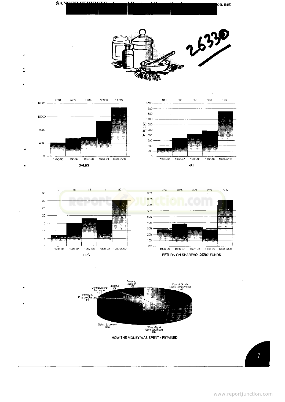







HOW THE; MONEY WAS SPENT/ RETAINED